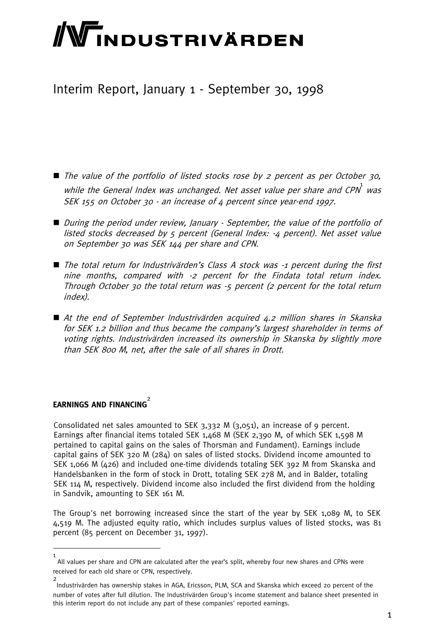# WINDUSTRIVÄRDEN

## Interim Report, January 1 - September 30, 1998

- $\blacksquare$  The value of the portfolio of listed stocks rose by 2 percent as per October 30, while the General Index was unchanged. Net asset value per share and  $\overline{CPN}^1$  was SEK 155 on October 30 - an increase of 4 percent since year-end 1997.
- During the period under review, January September, the value of the portfolio of listed stocks decreased by 5 percent (General Index: -4 percent). Net asset value on September 30 was SEK 144 per share and CPN.
- The total return for Industrivärden's Class A stock was -1 percent during the first nine months, compared with -2 percent for the Findata total return index. Through October 30 the total return was -5 percent (2 percent for the total return index).
- At the end of September Industrivärden acquired 4.2 million shares in Skanska for SEK 1.2 billion and thus became the company's largest shareholder in terms of voting rights. Industrivärden increased its ownership in Skanska by slightly more than SEK 800 M, net, after the sale of all shares in Drott.

## **EARNINGS AND FINANCING** 2

j

Consolidated net sales amounted to SEK 3,332 M (3,051), an increase of 9 percent. Earnings after financial items totaled SEK 1,468 M (SEK 2,390 M, of which SEK 1,598 M pertained to capital gains on the sales of Thorsman and Fundament). Earnings include capital gains of SEK 320 M (284) on sales of listed stocks. Dividend income amounted to SEK 1,066 M (426) and included one-time dividends totaling SEK 392 M from Skanska and Handelsbanken in the form of stock in Drott, totaling SEK 278 M, and in Balder, totaling SEK 114 M, respectively. Dividend income also included the first dividend from the holding in Sandvik, amounting to SEK 161 M.

The Group's net borrowing increased since the start of the year by SEK 1,089 M, to SEK 4,519 M. The adjusted equity ratio, which includes surplus values of listed stocks, was 81 percent (85 percent on December 31, 1997).

<sup>1</sup> All values per share and CPN are calculated after the year's split, whereby four new shares and CPNs were received for each old share or CPN, respectively.

<sup>2</sup> Industrivärden has ownership stakes in AGA, Ericsson, PLM, SCA and Skanska which exceed 20 percent of the number of votes after full dilution. The Industrivärden Group's income statement and balance sheet presented in this interim report do not include any part of these companies' reported earnings.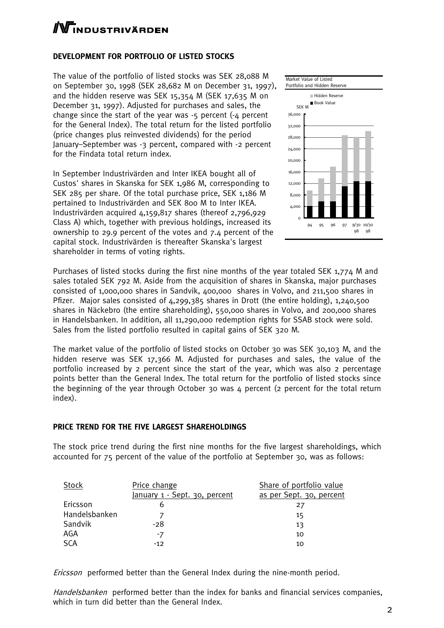# **TNDUSTRIVÄRDEN**

### **DEVELOPMENT FOR PORTFOLIO OF LISTED STOCKS**

The value of the portfolio of listed stocks was SEK 28,088 M on September 30, 1998 (SEK 28,682 M on December 31, 1997), and the hidden reserve was SEK 15,354 M (SEK 17,635 M on December 31, 1997). Adjusted for purchases and sales, the change since the start of the year was -5 percent (-4 percent for the General Index). The total return for the listed portfolio (price changes plus reinvested dividends) for the period January–September was -3 percent, compared with -2 percent for the Findata total return index.

In September Industrivärden and Inter IKEA bought all of Custos' shares in Skanska for SEK 1,986 M, corresponding to SEK 285 per share. Of the total purchase price, SEK 1,186 M pertained to Industrivärden and SEK 800 M to Inter IKEA. Industrivärden acquired 4,159,817 shares (thereof 2,796,929 Class A) which, together with previous holdings, increased its ownership to 29.9 percent of the votes and 7.4 percent of the capital stock. Industrivärden is thereafter Skanska's largest shareholder in terms of voting rights.



Purchases of listed stocks during the first nine months of the year totaled SEK 1,774 M and sales totaled SEK 792 M. Aside from the acquisition of shares in Skanska, major purchases consisted of 1,000,000 shares in Sandvik, 400,000 shares in Volvo, and 211,500 shares in Pfizer. Major sales consisted of 4,299,385 shares in Drott (the entire holding), 1,240,500 shares in Näckebro (the entire shareholding), 550,000 shares in Volvo, and 200,000 shares in Handelsbanken. In addition, all 11,290,000 redemption rights for SSAB stock were sold. Sales from the listed portfolio resulted in capital gains of SEK 320 M.

The market value of the portfolio of listed stocks on October 30 was SEK 30,103 M, and the hidden reserve was SEK 17,366 M. Adjusted for purchases and sales, the value of the portfolio increased by 2 percent since the start of the year, which was also 2 percentage points better than the General Index. The total return for the portfolio of listed stocks since the beginning of the year through October 30 was 4 percent (2 percent for the total return index).

#### **PRICE TREND FOR THE FIVE LARGEST SHAREHOLDINGS**

The stock price trend during the first nine months for the five largest shareholdings, which accounted for 75 percent of the value of the portfolio at September 30, was as follows:

| Price change                  | Share of portfolio value |
|-------------------------------|--------------------------|
| January 1 - Sept. 30, percent | as per Sept. 30, percent |
| 6                             | 27                       |
|                               | 15                       |
| -28                           | 13                       |
| -7                            | 10                       |
| $-12$                         | 10                       |
|                               |                          |

Ericsson performed better than the General Index during the nine-month period.

Handelsbanken performed better than the index for banks and financial services companies, which in turn did better than the General Index.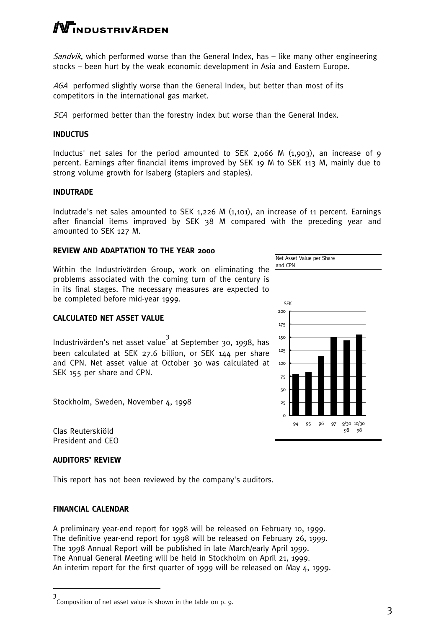# **TNDUSTRIVÄRDEN**

*Sandvik*, which performed worse than the General Index, has  $-$  like many other engineering stocks – been hurt by the weak economic development in Asia and Eastern Europe.

AGA performed slightly worse than the General Index, but better than most of its competitors in the international gas market.

SCA performed better than the forestry index but worse than the General Index.

#### **INDUCTUS**

Inductus' net sales for the period amounted to SEK 2,066 M (1,903), an increase of 9 percent. Earnings after financial items improved by SEK 19 M to SEK 113 M, mainly due to strong volume growth for Isaberg (staplers and staples).

#### **INDUTRADE**

Indutrade's net sales amounted to SEK 1,226 M (1,101), an increase of 11 percent. Earnings after financial items improved by SEK 38 M compared with the preceding year and amounted to SEK 127 M.

### **REVIEW AND ADAPTATION TO THE YEAR 2000**

Within the Industrivärden Group, work on eliminating the problems associated with the coming turn of the century is in its final stages. The necessary measures are expected to be completed before mid-year 1999.

## Net Asset Value per Share and CPN 0 25 50 75 100 125 150 175 200 94 95 96 97 9/30 10/30 98 98 SEK

### **CALCULATED NET ASSET VALUE**

Industrivärden's net asset value<sup>3</sup> at September 30, 1998, has been calculated at SEK 27.6 billion, or SEK 144 per share and CPN. Net asset value at October 30 was calculated at SEK 155 per share and CPN.

Stockholm, Sweden, November 4, 1998

Clas Reuterskiöld President and CEO

#### **AUDITORS' REVIEW**

This report has not been reviewed by the company's auditors.

#### **FINANCIAL CALENDAR**

j

A preliminary year-end report for 1998 will be released on February 10, 1999. The definitive year-end report for 1998 will be released on February 26, 1999. The 1998 Annual Report will be published in late March/early April 1999. The Annual General Meeting will be held in Stockholm on April 21, 1999. An interim report for the first quarter of 1999 will be released on May 4, 1999.

<sup>3</sup> Composition of net asset value is shown in the table on p. 9.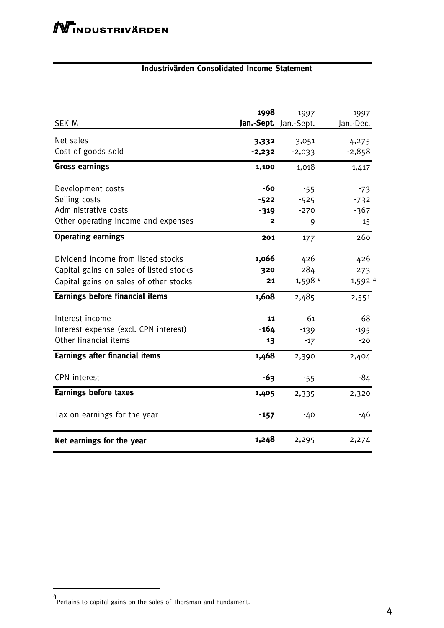## **Industrivärden Consolidated Income Statement**

| <b>SEK M</b>                                                                                                            | 1998                  | 1997<br>Jan.-Sept. Jan.-Sept. | 1997<br>Jan.-Dec.      |
|-------------------------------------------------------------------------------------------------------------------------|-----------------------|-------------------------------|------------------------|
| Net sales<br>Cost of goods sold                                                                                         | 3,332<br>$-2,232$     | 3,051<br>$-2,033$             | 4,275<br>$-2,858$      |
| <b>Gross earnings</b>                                                                                                   | 1,100                 | 1,018                         | 1,417                  |
| Development costs<br>Selling costs                                                                                      | -60                   | $-55$                         | $-73$                  |
| Administrative costs<br>Other operating income and expenses                                                             | $-522$<br>$-319$<br>2 | $-525$<br>$-270$<br>9         | $-732$<br>$-367$<br>15 |
| <b>Operating earnings</b>                                                                                               | 201                   | 177                           | 260                    |
| Dividend income from listed stocks<br>Capital gains on sales of listed stocks<br>Capital gains on sales of other stocks | 1,066<br>320<br>21    | 426<br>284<br>1,598 4         | 426<br>273<br>1,592 4  |
| <b>Earnings before financial items</b>                                                                                  | 1,608                 | 2,485                         | 2,551                  |
| Interest income<br>Interest expense (excl. CPN interest)<br>Other financial items                                       | 11<br>-164<br>13      | 61<br>$-139$<br>$-17$         | 68<br>$-195$<br>$-20$  |
| <b>Earnings after financial items</b>                                                                                   | 1,468                 | 2,390                         | 2,404                  |
| <b>CPN</b> interest                                                                                                     | $-63$                 | $-55$                         | -84                    |
| <b>Earnings before taxes</b>                                                                                            | 1,405                 | 2,335                         | 2,320                  |
| Tax on earnings for the year                                                                                            | $-157$                | -40                           | -46                    |
| Net earnings for the year                                                                                               | 1,248                 | 2,295                         | 2,274                  |

j

<sup>4</sup> Pertains to capital gains on the sales of Thorsman and Fundament.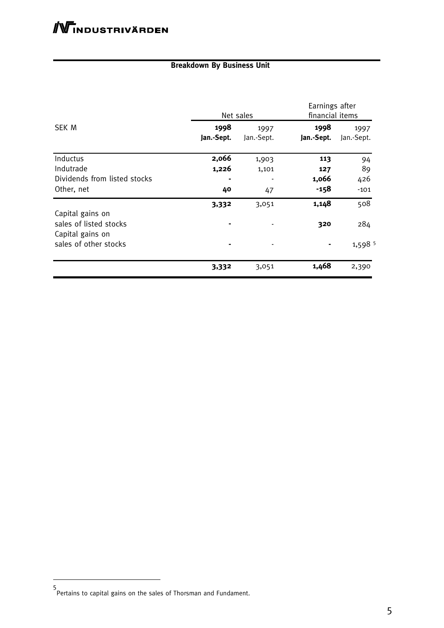## **Breakdown By Business Unit**

|                                                                | Net sales          |                    | Earnings after<br>financial items |                    |
|----------------------------------------------------------------|--------------------|--------------------|-----------------------------------|--------------------|
| <b>SEK M</b>                                                   | 1998<br>Jan.-Sept. | 1997<br>Jan.-Sept. | 1998<br>Jan.-Sept.                | 1997<br>Jan.-Sept. |
| Inductus                                                       | 2,066              | 1,903              | 113                               | 94                 |
| Indutrade                                                      | 1,226              | 1,101              | 127                               | 89                 |
| Dividends from listed stocks                                   |                    |                    | 1,066                             | 426                |
| Other, net                                                     | 40                 | 47                 | $-158$                            | $-101$             |
|                                                                | 3,332              | 3,051              | 1,148                             | 508                |
| Capital gains on<br>sales of listed stocks<br>Capital gains on |                    |                    | 320                               | 284                |
| sales of other stocks                                          |                    |                    |                                   | 1,598 5            |
|                                                                | 3,332              | 3,051              | 1,468                             | 2,390              |

 $\overline{a}$ 

<sup>5</sup> Pertains to capital gains on the sales of Thorsman and Fundament.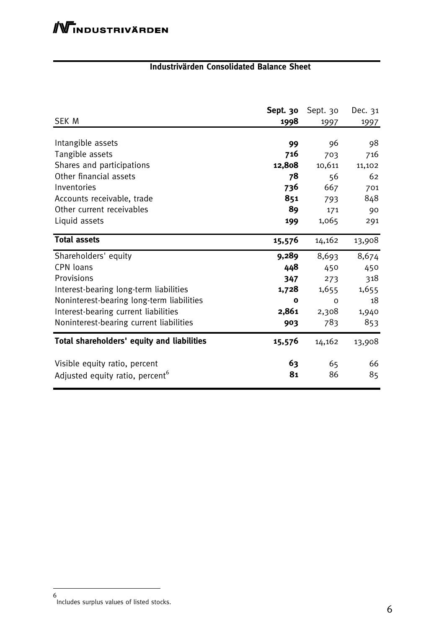## **Industrivärden Consolidated Balance Sheet**

|                                             | Sept. 30    | Sept. 30 | Dec. 31 |
|---------------------------------------------|-------------|----------|---------|
| <b>SEK M</b>                                | 1998        | 1997     | 1997    |
|                                             |             |          |         |
| Intangible assets                           | 99          | 96       | 98      |
| Tangible assets                             | 716         | 703      | 716     |
| Shares and participations                   | 12,808      | 10,611   | 11,102  |
| Other financial assets                      | 78          | 56       | 62      |
| Inventories                                 | 736         | 667      | 701     |
| Accounts receivable, trade                  | 851         | 793      | 848     |
| Other current receivables                   | 89          | 171      | 90      |
| Liquid assets                               | 199         | 1,065    | 291     |
| <b>Total assets</b>                         | 15,576      | 14,162   | 13,908  |
| Shareholders' equity                        | 9,289       | 8,693    | 8,674   |
| <b>CPN loans</b>                            | 448         | 450      | 450     |
| Provisions                                  | 347         | 273      | 318     |
| Interest-bearing long-term liabilities      | 1,728       | 1,655    | 1,655   |
| Noninterest-bearing long-term liabilities   | $\mathbf o$ | O        | 18      |
| Interest-bearing current liabilities        | 2,861       | 2,308    | 1,940   |
| Noninterest-bearing current liabilities     | 903         | 783      | 853     |
| Total shareholders' equity and liabilities  | 15,576      | 14,162   | 13,908  |
| Visible equity ratio, percent               | 63          | 65       | 66      |
| Adjusted equity ratio, percent <sup>6</sup> | 81          | 86       | 85      |

j

<sup>6</sup> Includes surplus values of listed stocks.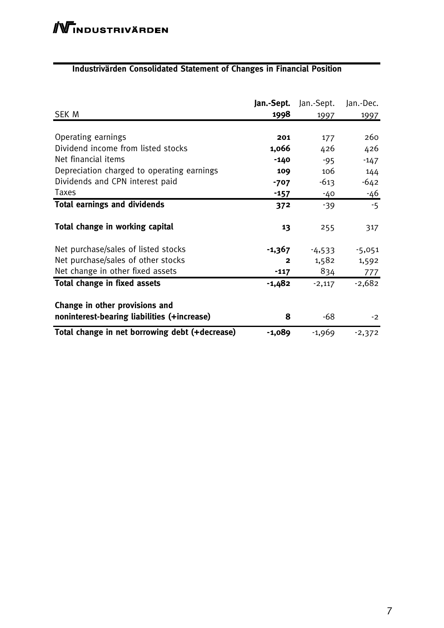## **Industrivärden Consolidated Statement of Changes in Financial Position**

|                                                | Jan.-Sept.   | Jan.-Sept. | Jan.-Dec. |
|------------------------------------------------|--------------|------------|-----------|
| SEK M                                          | 1998         | 1997       | 1997      |
|                                                |              |            |           |
| Operating earnings                             | 201          | 177        | 260       |
| Dividend income from listed stocks             | 1,066        | 426        | 426       |
| Net financial items                            | -140         | $-95$      | $-147$    |
| Depreciation charged to operating earnings     | 109          | 106        | 144       |
| Dividends and CPN interest paid                | -707         | $-613$     | $-642$    |
| <b>Taxes</b>                                   | $-157$       | -40        | -46       |
| <b>Total earnings and dividends</b>            | 372          | $-39$      | $-5$      |
|                                                |              |            |           |
| Total change in working capital                | 13           | 255        | 317       |
|                                                |              |            |           |
| Net purchase/sales of listed stocks            | -1,367       | $-4,533$   | $-5,051$  |
| Net purchase/sales of other stocks             | $\mathbf{2}$ | 1,582      | 1,592     |
| Net change in other fixed assets               | $-117$       | 834        | 777       |
| Total change in fixed assets                   | $-1,482$     | $-2,117$   | $-2,682$  |
|                                                |              |            |           |
| Change in other provisions and                 |              |            |           |
| noninterest-bearing liabilities (+increase)    | 8            | -68        | $-2$      |
| Total change in net borrowing debt (+decrease) | $-1,089$     | $-1,969$   | $-2,372$  |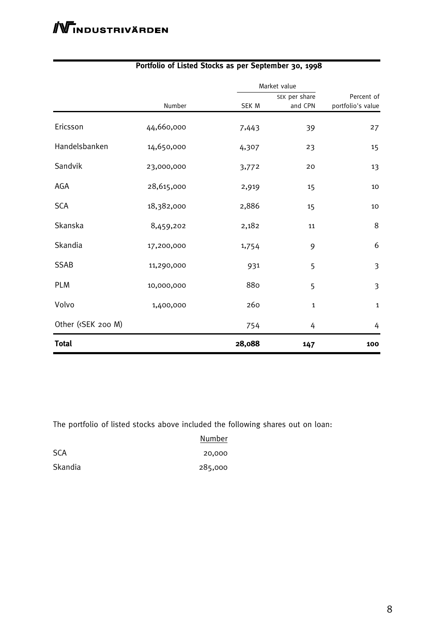|                                                                                  |            | Market value |                          |                                 |
|----------------------------------------------------------------------------------|------------|--------------|--------------------------|---------------------------------|
|                                                                                  | Number     | SEK M        | SEK per share<br>and CPN | Percent of<br>portfolio's value |
|                                                                                  |            |              |                          |                                 |
| Ericsson                                                                         | 44,660,000 | 7,443        | 39                       | 27                              |
| Handelsbanken                                                                    | 14,650,000 | 4,307        | 23                       | 15                              |
| Sandvik                                                                          | 23,000,000 | 3,772        | 20                       | 13                              |
| AGA                                                                              | 28,615,000 | 2,919        | 15                       | 10                              |
| <b>SCA</b>                                                                       | 18,382,000 | 2,886        | 15                       | 10                              |
| Skanska                                                                          | 8,459,202  | 2,182        | 11                       | 8                               |
| Skandia                                                                          | 17,200,000 | 1,754        | 9                        | 6                               |
| SSAB                                                                             | 11,290,000 | 931          | 5                        | $\overline{\mathbf{3}}$         |
| PLM                                                                              | 10,000,000 | 880          | 5                        | $\overline{3}$                  |
| Volvo                                                                            | 1,400,000  | 260          | $\mathbf{1}$             | $\mathbf{1}$                    |
| Other ( <sek 200="" m)<="" td=""><td></td><td>754</td><td>4</td><td>4</td></sek> |            | 754          | 4                        | 4                               |
| <b>Total</b>                                                                     |            | 28,088       | 147                      | 100                             |

## **Portfolio of Listed Stocks as per September 30, 1998**

The portfolio of listed stocks above included the following shares out on loan:

|            | Number  |
|------------|---------|
| <b>SCA</b> | 20,000  |
| Skandia    | 285,000 |